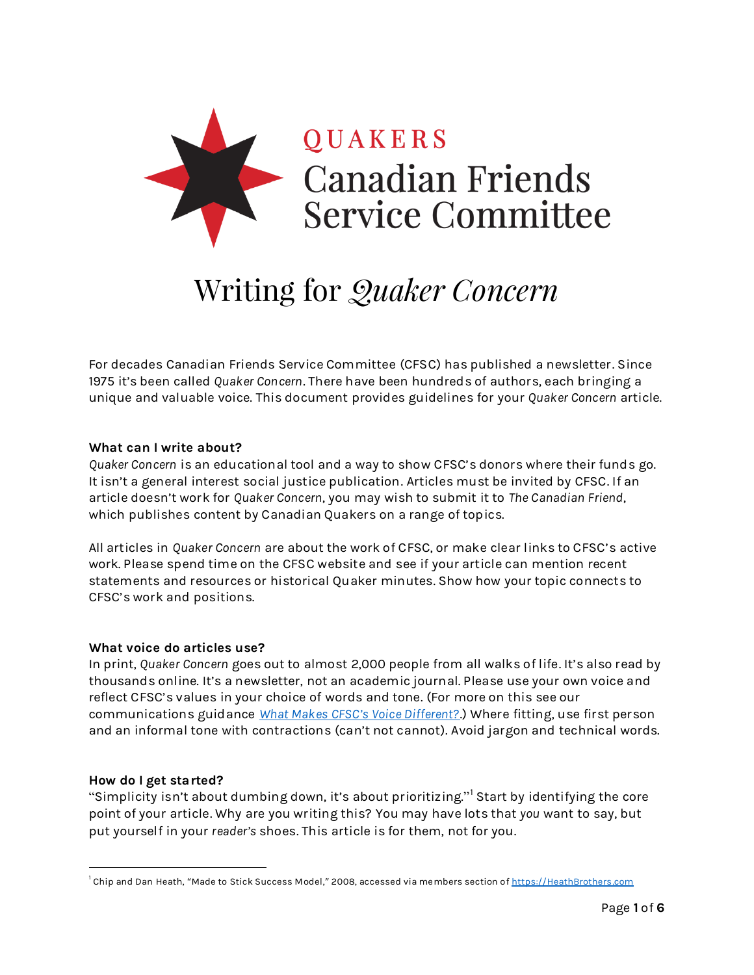

# Writing for *Quaker Concern*

For decades Canadian Friends Service Committee (CFSC) has published a newsletter. Since 1975 it's been called *Quaker Concern*. There have been hundreds of authors, each bringing a unique and valuable voice. This document provides guidelines for your *Quaker Concern* article.

#### **What can I write about?**

*Quaker Concern* is an educational tool and a way to show CFSC's donors where their funds go. It isn't a general interest social justice publication. Articles must be invited by CFSC. If an article doesn't work for *Quaker Concern*, you may wish to submit it to *The Canadian Friend*, which publishes content by Canadian Quakers on a range of topics.

All articles in *Quaker Concern* are about the work of CFSC, or make clear links to CFSC's active work. Please spend time on the CFSC website and see if your article can mention recent statements and resources or historical Quaker minutes. Show how your topic connects to CFSC's work and positions.

#### **What voice do articles use?**

In print, *Quaker Concern* goes out to almost 2,000 people from all walks of life. It's also read by thousands online. It's a newsletter, not an academic journal. Please use your own voice and reflect CFSC's values in your choice of words and tone. (For more on this see our communications guidance *[What Makes CFSC's Voice Different?](https://quakerservice.ca/WhatMakesCFSCsVoiceDifferent)*.) Where fitting, use first person and an informal tone with contractions (can't not cannot). Avoid jargon and technical words.

#### **How do I get started?**

 $\overline{a}$ 

"Simplicity isn't about dumbing down, it's about prioritizing." <sup>1</sup> Start by identifying the core point of your article. Why are you writing this? You may have lots that *you* want to say, but put yourself in your *reader's* shoes. This article is for them, not for you.

<sup>&</sup>lt;sup>1</sup> Chip and Dan Heath, "Made to Stick Success Model," 2008, accessed via members section of <u>https://HeathBrothers.com</u>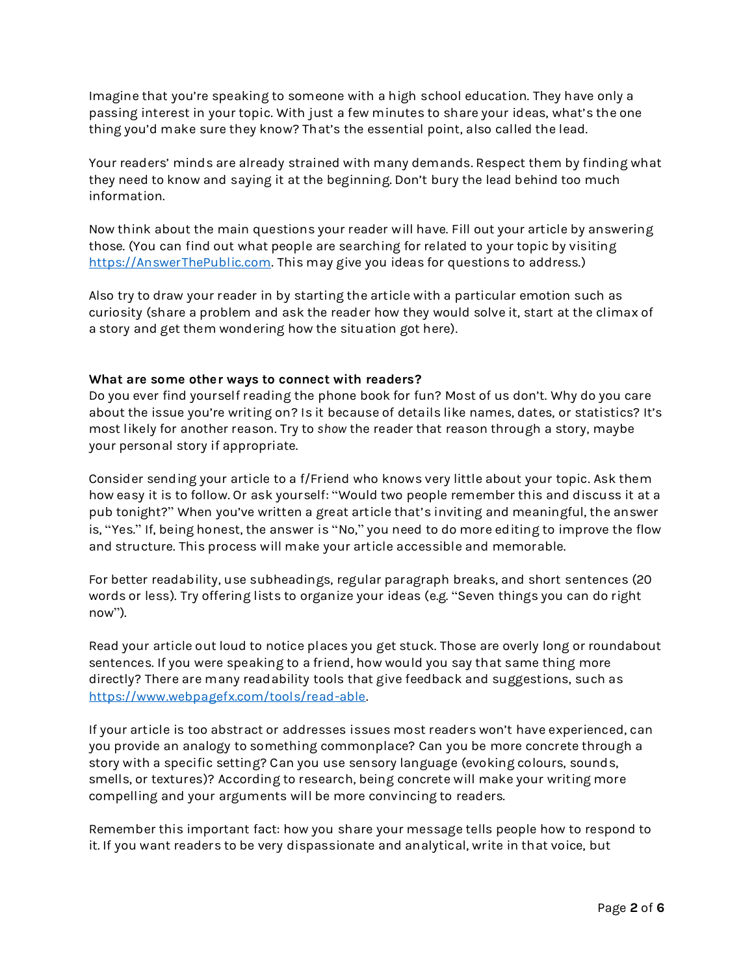Imagine that you're speaking to someone with a high school education. They have only a passing interest in your topic. With just a few minutes to share your ideas, what's the one thing you'd make sure they know? That's the essential point, also called the lead.

Your readers' minds are already strained with many demands. Respect them by finding what they need to know and saying it at the beginning. Don't bury the lead behind too much information.

Now think about the main questions your reader will have. Fill out your article by answering those. (You can find out what people are searching for related to your topic by visiting [https://AnswerThePublic.com.](https://answerthepublic.com/) This may give you ideas for questions to address.)

Also try to draw your reader in by starting the article with a particular emotion such as curiosity (share a problem and ask the reader how they would solve it, start at the climax of a story and get them wondering how the situation got here).

#### **What are some other ways to connect with readers?**

Do you ever find yourself reading the phone book for fun? Most of us don't. Why do you care about the issue you're writing on? Is it because of details like names, dates, or statistics? It's most likely for another reason. Try to *show* the reader that reason through a story, maybe your personal story if appropriate.

Consider sending your article to a f/Friend who knows very little about your topic. Ask them how easy it is to follow. Or ask yourself: "Would two people remember this and discuss it at a pub tonight?" When you've written a great article that's inviting and meaningful, the answer is, "Yes." If, being honest, the answer is "No," you need to do more editing to improve the flow and structure. This process will make your article accessible and memorable.

For better readability, use subheadings, regular paragraph breaks, and short sentences (20 words or less). Try offering lists to organize your ideas (e.g. "Seven things you can do right now").

Read your article out loud to notice places you get stuck. Those are overly long or roundabout sentences. If you were speaking to a friend, how would you say that same thing more directly? There are many readability tools that give feedback and suggestions, such as [https://www.webpagefx.com/tools/read-able.](https://www.webpagefx.com/tools/read-able)

If your article is too abstract or addresses issues most readers won't have experienced, can you provide an analogy to something commonplace? Can you be more concrete through a story with a specific setting? Can you use sensory language (evoking colours, sounds, smells, or textures)? According to research, being concrete will make your writing more compelling and your arguments will be more convincing to readers.

Remember this important fact: how you share your message tells people how to respond to it. If you want readers to be very dispassionate and analytical, write in that voice, but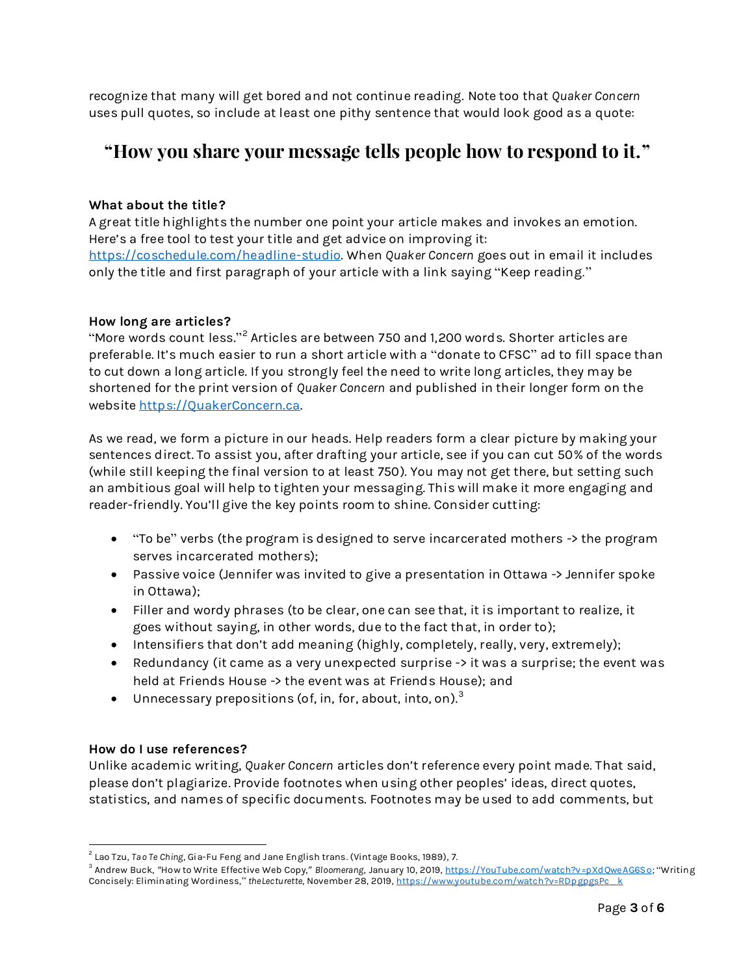recognize that many will get bored and not continue reading. Note too that *Quaker Concern* uses pull quotes, so include at least one pithy sentence that would look good as a quote:

# **"How you share your message tells people how to respond to it."**

## **What about the title?**

A great title highlights the number one point your article makes and invokes an emotion. Here's a free tool to test your title and get advice on improving it: [https://coschedule.com/headline-studio.](https://coschedule.com/headline-studio) When *Quaker Concern* goes out in email it includes only the title and first paragraph of your article with a link saying "Keep reading."

#### **How long are articles?**

"More words count less." $^2$  Articles are between 750 and 1,200 words. Shorter articles are preferable. It's much easier to run a short article with a "donate to CFSC" ad to fill space than to cut down a long article. If you strongly feel the need to write long articles, they may be shortened for the print version of *Quaker Concern* and published in their longer form on the website [https://QuakerConcern.ca.](https://quakerconcern.ca/)

As we read, we form a picture in our heads. Help readers form a clear picture by making your sentences direct. To assist you, after drafting your article, see if you can cut 50% of the words (while still keeping the final version to at least 750). You may not get there, but setting such an ambitious goal will help to tighten your messaging. This will make it more engaging and reader-friendly. You'll give the key points room to shine. Consider cutting:

- "To be" verbs (the program is designed to serve incarcerated mothers -> the program serves incarcerated mothers);
- Passive voice (Jennifer was invited to give a presentation in Ottawa -> Jennifer spoke in Ottawa);
- Filler and wordy phrases (to be clear, one can see that, it is important to realize, it goes without saying, in other words, due to the fact that, in order to);
- Intensifiers that don't add meaning (highly, completely, really, very, extremely);
- Redundancy (it came as a very unexpected surprise -> it was a surprise; the event was held at Friends House -> the event was at Friends House); and
- $\bullet$  Unnecessary prepositions (of, in, for, about, into, on). $^3$

#### **How do I use references?**

 $\overline{a}$ 

Unlike academic writing, *Quaker Concern* articles don't reference every point made. That said, please don't plagiarize. Provide footnotes when using other peoples' ideas, direct quotes, statistics, and names of specific documents. Footnotes may be used to add comments, but

<sup>&</sup>lt;sup>2</sup> Lao Tzu, Ta*o* Te Ching, Gia-Fu Feng and Jane English trans. (Vintage Books, 1989), 7.

<sup>&</sup>lt;sup>3</sup> Andrew Buck, "How to Write Effective Web Copy," *Bloomerang,* January 10, 2019, <u>https://YouTube.com/watch?v=pXdQweAG6So</u>; "Writing Concisely: Eliminating Wordiness," *theLecturette*, November 28, 2019, [https://www.youtube.com/watch?v=RDpgpgsPc\\_k](https://www.youtube.com/watch?v=RDpgpgsPc_k)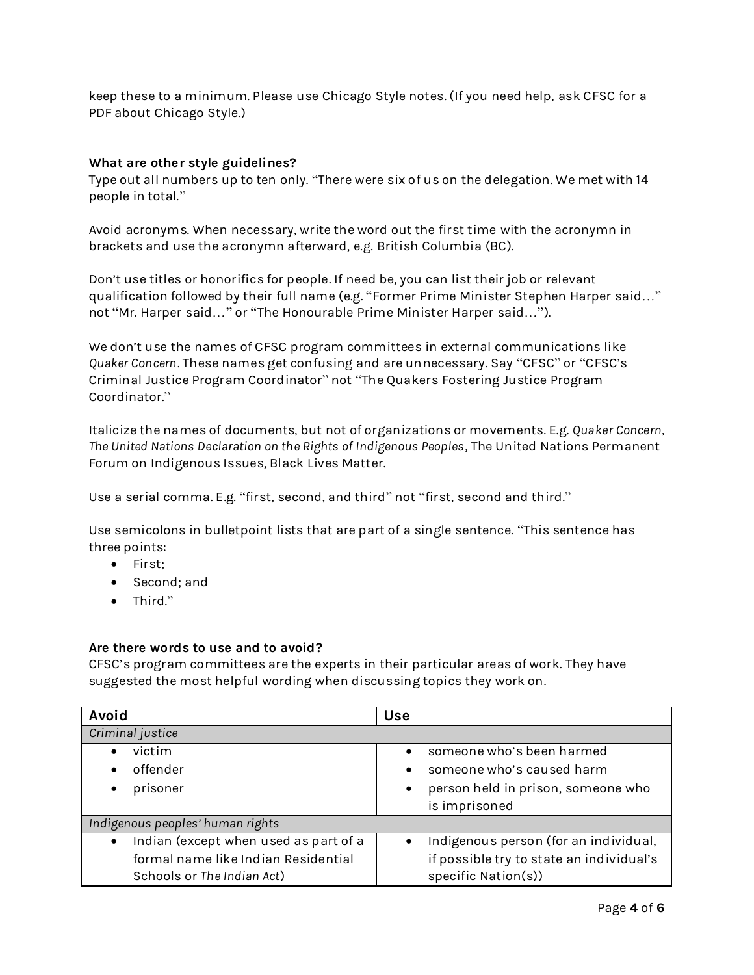keep these to a minimum. Please use Chicago Style notes. (If you need help, ask CFSC for a PDF about Chicago Style.)

## **What are other style guidelines?**

Type out all numbers up to ten only. "There were six of us on the delegation. We met with 14 people in total."

Avoid acronyms. When necessary, write the word out the first time with the acronymn in brackets and use the acronymn afterward, e.g. British Columbia (BC).

Don't use titles or honorifics for people. If need be, you can list their job or relevant qualification followed by their full name (e.g. "Former Prime Minister Stephen Harper said…" not "Mr. Harper said…" or "The Honourable Prime Minister Harper said…").

We don't use the names of CFSC program committees in external communications like *Quaker Concern*. These names get confusing and are unnecessary. Say "CFSC" or "CFSC's Criminal Justice Program Coordinator" not "The Quakers Fostering Justice Program Coordinator."

Italicize the names of documents, but not of organizations or movements. E.g. *Quaker Concern*, *The United Nations Declaration on the Rights of Indigenous Peoples*, The United Nations Permanent Forum on Indigenous Issues, Black Lives Matter.

Use a serial comma. E.g. "first, second, and third" not "first, second and third."

Use semicolons in bulletpoint lists that are part of a single sentence. "This sentence has three points:

- First:
- Second; and
- Third."

#### **Are there words to use and to avoid?**

CFSC's program committees are the experts in their particular areas of work. They have suggested the most helpful wording when discussing topics they work on.

| Avoid                                              | <b>Use</b>                                         |
|----------------------------------------------------|----------------------------------------------------|
| Criminal justice                                   |                                                    |
| victim                                             | someone who's been harmed                          |
| offender                                           | someone who's caused harm<br>$\bullet$             |
| prisoner                                           | person held in prison, someone who<br>$\bullet$    |
|                                                    | is imprisoned                                      |
| Indigenous peoples' human rights                   |                                                    |
| Indian (except when used as part of a<br>$\bullet$ | Indigenous person (for an individual,<br>$\bullet$ |
| formal name like Indian Residential                | if possible try to state an individual's           |
| Schools or The Indian Act)                         | specific Nation(s))                                |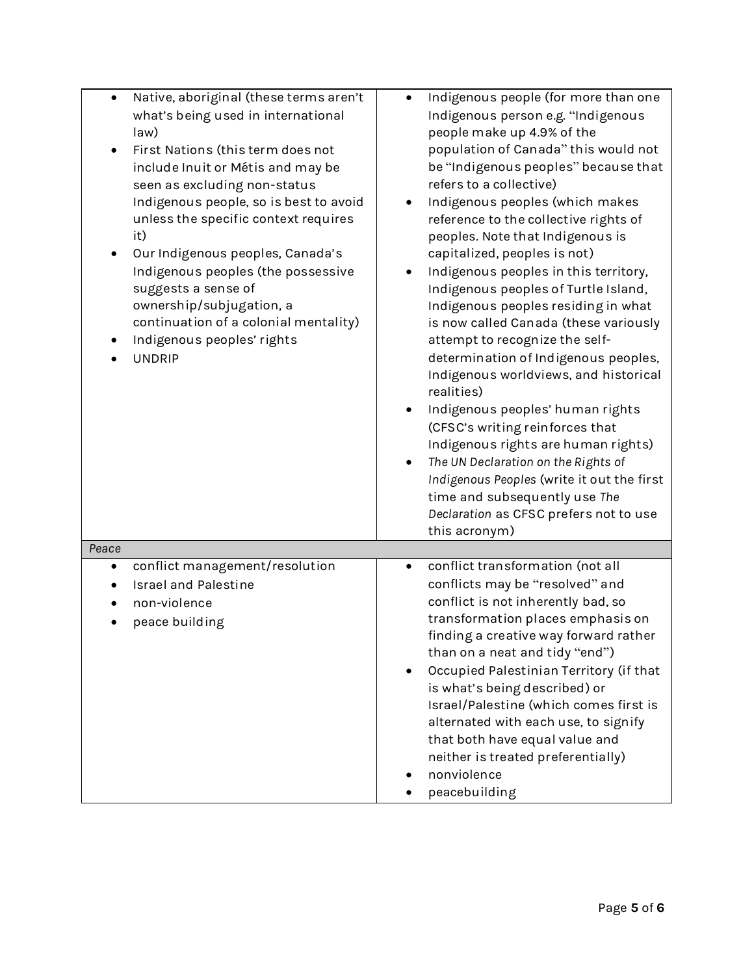| Native, aboriginal (these terms aren't<br>what's being used in international<br>law)<br>First Nations (this term does not<br>include Inuit or Métis and may be<br>seen as excluding non-status<br>Indigenous people, so is best to avoid<br>unless the specific context requires<br>it)<br>Our Indigenous peoples, Canada's<br>Indigenous peoples (the possessive<br>suggests a sense of<br>ownership/subjugation, a<br>continuation of a colonial mentality)<br>Indigenous peoples' rights<br><b>UNDRIP</b> | Indigenous people (for more than one<br>Indigenous person e.g. "Indigenous<br>people make up 4.9% of the<br>population of Canada" this would not<br>be "Indigenous peoples" because that<br>refers to a collective)<br>Indigenous peoples (which makes<br>reference to the collective rights of<br>peoples. Note that Indigenous is<br>capitalized, peoples is not)<br>Indigenous peoples in this territory,<br>Indigenous peoples of Turtle Island,<br>Indigenous peoples residing in what<br>is now called Canada (these variously<br>attempt to recognize the self-<br>determination of Indigenous peoples,<br>Indigenous worldviews, and historical<br>realities)<br>Indigenous peoples' human rights<br>(CFSC's writing reinforces that<br>Indigenous rights are human rights)<br>The UN Declaration on the Rights of<br>$\bullet$<br>Indigenous Peoples (write it out the first<br>time and subsequently use The<br>Declaration as CFSC prefers not to use<br>this acronym) |
|--------------------------------------------------------------------------------------------------------------------------------------------------------------------------------------------------------------------------------------------------------------------------------------------------------------------------------------------------------------------------------------------------------------------------------------------------------------------------------------------------------------|-----------------------------------------------------------------------------------------------------------------------------------------------------------------------------------------------------------------------------------------------------------------------------------------------------------------------------------------------------------------------------------------------------------------------------------------------------------------------------------------------------------------------------------------------------------------------------------------------------------------------------------------------------------------------------------------------------------------------------------------------------------------------------------------------------------------------------------------------------------------------------------------------------------------------------------------------------------------------------------|
| Peace                                                                                                                                                                                                                                                                                                                                                                                                                                                                                                        |                                                                                                                                                                                                                                                                                                                                                                                                                                                                                                                                                                                                                                                                                                                                                                                                                                                                                                                                                                                   |
| conflict management/resolution<br>٠<br><b>Israel and Palestine</b><br>non-violence<br>peace building                                                                                                                                                                                                                                                                                                                                                                                                         | conflict transformation (not all<br>$\bullet$<br>conflicts may be "resolved" and<br>conflict is not inherently bad, so<br>transformation places emphasis on<br>finding a creative way forward rather<br>than on a neat and tidy "end")<br>Occupied Palestinian Territory (if that<br>is what's being described) or<br>Israel/Palestine (which comes first is<br>alternated with each use, to signify<br>that both have equal value and<br>neither is treated preferentially)<br>nonviolence<br>peacebuilding                                                                                                                                                                                                                                                                                                                                                                                                                                                                      |